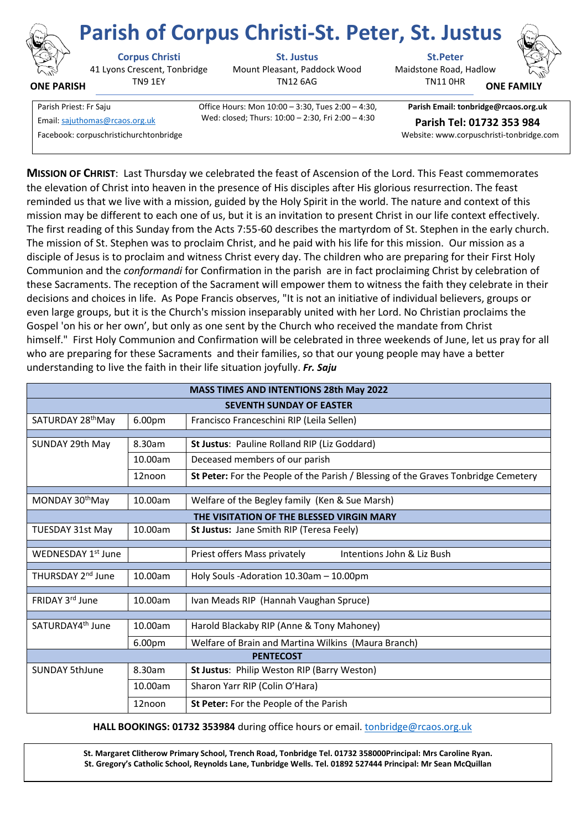

**ONE PARISH**

41 Lyons Crescent, Tonbridge TN9 1EY

**Corpus Christi St. Justus St.Peter**

Mount Pleasant, Paddock Wood TN12 6AG

Maidstone Road, Hadlow TN11 0HR **Parish of Corpus Christi-St. Peter, St. Justus**



**ONE FAMI** 

Email[: sajuthomas@rcaos.org.uk](about:blank) **Parish Tel: 01732 353 984**

Parish Priest: Fr Saju Office Hours: Mon 10:00 – 3:30, Tues 2:00 – 4:30, Wed: closed; Thurs: 10:00 – 2:30, Fri 2:00 – 4:30

**Parish Email: tonbridge@rcaos.org.uk** Facebook: corpuschristichurchtonbridge Website: www.corpuschristi-tonbridge.com

**MISSION OF CHRIST**: Last Thursday we celebrated the feast of Ascension of the Lord. This Feast commemorates the elevation of Christ into heaven in the presence of His disciples after His glorious resurrection. The feast reminded us that we live with a mission, guided by the Holy Spirit in the world. The nature and context of this mission may be different to each one of us, but it is an invitation to present Christ in our life context effectively. The first reading of this Sunday from the Acts 7:55-60 describes the martyrdom of St. Stephen in the early church. The mission of St. Stephen was to proclaim Christ, and he paid with his life for this mission. Our mission as a disciple of Jesus is to proclaim and witness Christ every day. The children who are preparing for their First Holy Communion and the *conformandi* for Confirmation in the parish are in fact proclaiming Christ by celebration of these Sacraments. The reception of the Sacrament will empower them to witness the faith they celebrate in their decisions and choices in life. As Pope Francis observes, "It is not an initiative of individual believers, groups or even large groups, but it is the Church's mission inseparably united with her Lord. No Christian proclaims the Gospel 'on his or her own', but only as one sent by the Church who received the mandate from Christ himself." First Holy Communion and Confirmation will be celebrated in three weekends of June, let us pray for all who are preparing for these Sacraments and their families, so that our young people may have a better understanding to live the faith in their life situation joyfully. *Fr. Saju*

| <b>MASS TIMES AND INTENTIONS 28th May 2022</b> |         |                                                                                    |
|------------------------------------------------|---------|------------------------------------------------------------------------------------|
| <b>SEVENTH SUNDAY OF EASTER</b>                |         |                                                                                    |
| SATURDAY 28 <sup>th</sup> May                  | 6.00pm  | Francisco Franceschini RIP (Leila Sellen)                                          |
| SUNDAY 29th May                                | 8.30am  |                                                                                    |
|                                                |         | St Justus: Pauline Rolland RIP (Liz Goddard)                                       |
|                                                | 10.00am | Deceased members of our parish                                                     |
|                                                | 12noon  | St Peter: For the People of the Parish / Blessing of the Graves Tonbridge Cemetery |
| MONDAY 30 <sup>th</sup> May                    | 10.00am | Welfare of the Begley family (Ken & Sue Marsh)                                     |
|                                                |         |                                                                                    |
|                                                |         | THE VISITATION OF THE BLESSED VIRGIN MARY                                          |
| <b>TUESDAY 31st May</b>                        | 10.00am | St Justus: Jane Smith RIP (Teresa Feely)                                           |
| WEDNESDAY 1st June                             |         | Priest offers Mass privately<br>Intentions John & Liz Bush                         |
| THURSDAY 2 <sup>nd</sup> June                  | 10.00am | Holy Souls -Adoration 10.30am - 10.00pm                                            |
|                                                |         |                                                                                    |
| FRIDAY 3rd June                                | 10.00am | Ivan Meads RIP (Hannah Vaughan Spruce)                                             |
|                                                |         |                                                                                    |
| SATURDAY4 <sup>th</sup> June                   | 10.00am | Harold Blackaby RIP (Anne & Tony Mahoney)                                          |
|                                                | 6.00pm  | Welfare of Brain and Martina Wilkins (Maura Branch)                                |
| <b>PENTECOST</b>                               |         |                                                                                    |
| <b>SUNDAY 5thJune</b>                          | 8.30am  | St Justus: Philip Weston RIP (Barry Weston)                                        |
|                                                | 10.00am | Sharon Yarr RIP (Colin O'Hara)                                                     |
|                                                | 12noon  | St Peter: For the People of the Parish                                             |

 **HALL BOOKINGS: 01732 353984** during office hours or email. [tonbridge@rcaos.org.uk](about:blank)

**St. Margaret Clitherow Primary School, Trench Road, Tonbridge Tel. 01732 358000Principal: Mrs Caroline Ryan. St. Gregory's Catholic School, Reynolds Lane, Tunbridge Wells. Tel. 01892 527444 Principal: Mr Sean McQuillan**